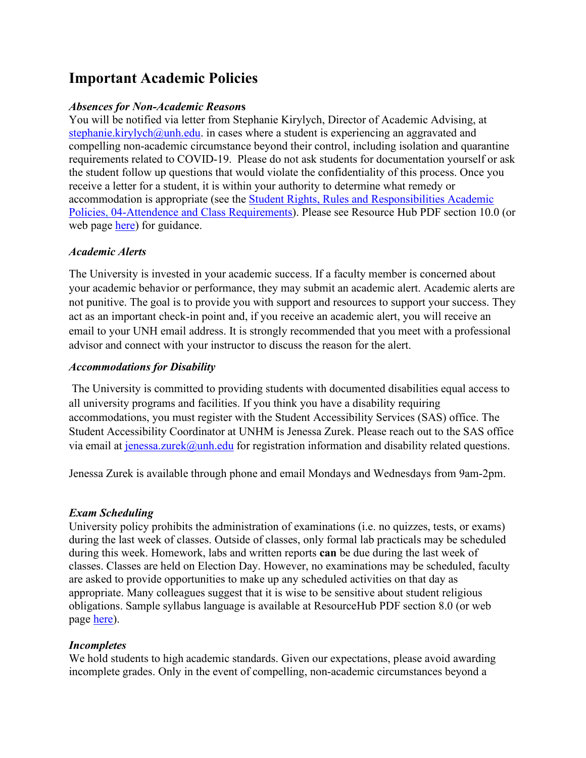# **Important Academic Policies**

## *Absences for Non-Academic Reason***s**

You will be notified via letter from Stephanie Kirylych, Director of Academic Advising, at [stephanie.kirylych@unh.edu.](mailto:stephanie.kirylych@unh.edu) in cases where a student is experiencing an aggravated and compelling non-academic circumstance beyond their control, including isolation and quarantine requirements related to COVID-19. Please do not ask students for documentation yourself or ask the student follow up questions that would violate the confidentiality of this process. Once you receive a letter for a student, it is within your authority to determine what remedy or accommodation is appropriate (see the [Student Rights, Rules and Responsibilities Academic](https://www.unh.edu/sites/default/files/departments/student_life/2020-21_rider_to_srrr_adminstrative_policies-_compliance_with_univesity_public_health_protocol.pdf) [Policies,](https://www.unh.edu/sites/default/files/departments/student_life/2020-21_rider_to_srrr_adminstrative_policies-_compliance_with_univesity_public_health_protocol.pdf) [04-Attendence and Class Requirements\)](https://catalog.unh.edu/law/juris-doctor-academic-rules-regulations/registration-enrollment-withdrawal-attendance/). Please see Resource Hub PDF section 10.0 (or web page [here\)](https://www.unh.edu/provost/guidance-fall-2020-instruction) for guidance.

## *Academic Alerts*

The University is invested in your academic success. If a faculty member is concerned about your academic behavior or performance, they may submit an academic alert. Academic alerts are not punitive. The goal is to provide you with support and resources to support your success. They act as an important check-in point and, if you receive an academic alert, you will receive an email to your UNH email address. It is strongly recommended that you meet with a professional advisor and connect with your instructor to discuss the reason for the alert.

## *Accommodations for Disability*

The University is committed to providing students with documented disabilities equal access to all university programs and facilities. If you think you have a disability requiring accommodations, you must register with the Student Accessibility Services (SAS) office. The Student Accessibility Coordinator at UNHM is Jenessa Zurek. Please reach out to the SAS office via email at  $j$ enessa.zurek@unh.edu for registration information and disability related questions.

Jenessa Zurek is available through phone and email Mondays and Wednesdays from 9am-2pm.

# *Exam Scheduling*

University policy prohibits the administration of examinations (i.e. no quizzes, tests, or exams) during the last week of classes. Outside of classes, only formal lab practicals may be scheduled during this week. Homework, labs and written reports **can** be due during the last week of classes. Classes are held on Election Day. However, no examinations may be scheduled, faculty are asked to provide opportunities to make up any scheduled activities on that day as appropriate. Many colleagues suggest that it is wise to be sensitive about student religious obligations. Sample syllabus language is available at ResourceHub PDF section 8.0 (or web page [here\)](https://www.unh.edu/provost/guidance-fall-2020-instruction).

# *Incompletes*

We hold students to high academic standards. Given our expectations, please avoid awarding incomplete grades. Only in the event of compelling, non-academic circumstances beyond a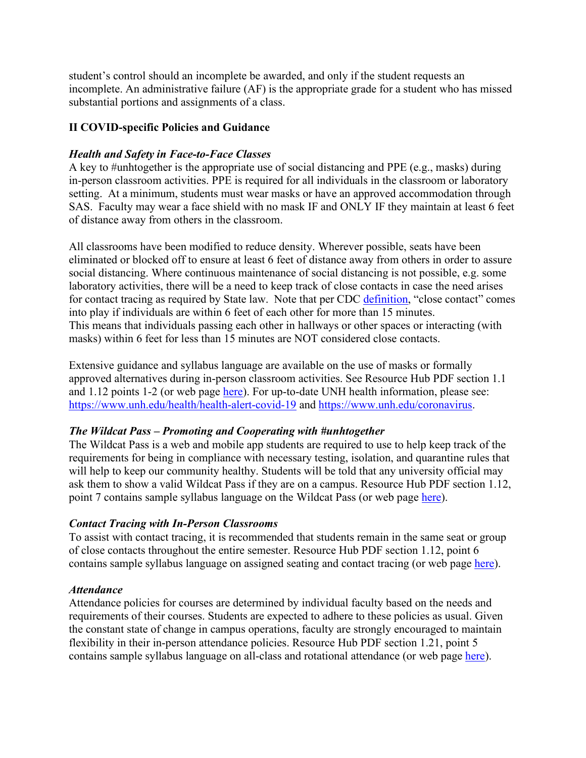student's control should an incomplete be awarded, and only if the student requests an incomplete. An administrative failure (AF) is the appropriate grade for a student who has missed substantial portions and assignments of a class.

# **II COVID-specific Policies and Guidance**

# *Health and Safety in Face-to-Face Classes*

A key to #unhtogether is the appropriate use of social distancing and PPE (e.g., masks) during in-person classroom activities. PPE is required for all individuals in the classroom or laboratory setting. At a minimum, students must wear masks or have an approved accommodation through SAS. Faculty may wear a face shield with no mask IF and ONLY IF they maintain at least 6 feet of distance away from others in the classroom.

All classrooms have been modified to reduce density. Wherever possible, seats have been eliminated or blocked off to ensure at least 6 feet of distance away from others in order to assure social distancing. Where continuous maintenance of social distancing is not possible, e.g. some laboratory activities, there will be a need to keep track of close contacts in case the need arises for contact tracing as required by State law. Note that per CDC [definition,](https://www.cdc.gov/coronavirus/2019-ncov/php/public-health-recommendations.html) "close contact" comes into play if individuals are within 6 feet of each other for more than 15 minutes. This means that individuals passing each other in hallways or other spaces or interacting (with masks) within 6 feet for less than 15 minutes are NOT considered close contacts.

Extensive guidance and syllabus language are available on the use of masks or formally approved alternatives during in-person classroom activities. See Resource Hub PDF section 1.1 and 1.12 points 1-2 (or web page [here\)](https://www.unh.edu/provost/guidance-fall-2020-instruction). For up-to-date UNH health information, please see: <https://www.unh.edu/health/health-alert-covid-19> and [https://www.unh.edu/coronavirus.](https://www.unh.edu/coronavirus)

# *The Wildcat Pass – Promoting and Cooperating with #unhtogether*

The Wildcat Pass is a web and mobile app students are required to use to help keep track of the requirements for being in compliance with necessary testing, isolation, and quarantine rules that will help to keep our community healthy. Students will be told that any university official may ask them to show a valid Wildcat Pass if they are on a campus. Resource Hub PDF section 1.12, point 7 contains sample syllabus language on the Wildcat Pass (or web page [here\)](https://www.unh.edu/provost/guidance-fall-2020-instruction).

# *Contact Tracing with In-Person Classrooms*

To assist with contact tracing, it is recommended that students remain in the same seat or group of close contacts throughout the entire semester. Resource Hub PDF section 1.12, point 6 contains sample syllabus language on assigned seating and contact tracing (or web page [here\)](https://www.unh.edu/provost/guidance-fall-2020-instruction).

# *Attendance*

Attendance policies for courses are determined by individual faculty based on the needs and requirements of their courses. Students are expected to adhere to these policies as usual. Given the constant state of change in campus operations, faculty are strongly encouraged to maintain flexibility in their in-person attendance policies. Resource Hub PDF section 1.21, point 5 contains sample syllabus language on all-class and rotational attendance (or web page [here\)](https://www.unh.edu/provost/guidance-fall-2020-instruction).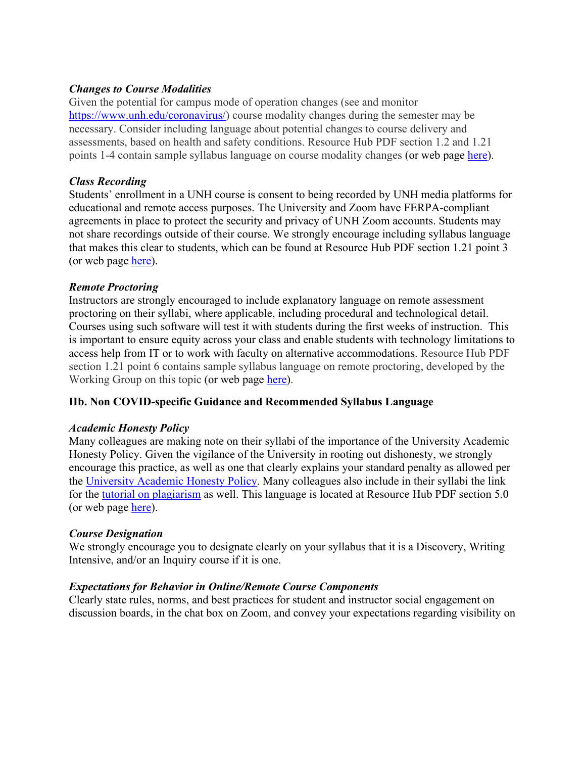# *Changes to Course Modalities*

Given the potential for campus mode of operation changes (see and monitor [https://www.unh.edu/coronavirus/\)](https://www.unh.edu/coronavirus/) course modality changes during the semester may be necessary. Consider including language about potential changes to course delivery and assessments, based on health and safety conditions. Resource Hub PDF section 1.2 and 1.21 points 1-4 contain sample syllabus language on course modality changes (or web page [here\)](https://www.unh.edu/provost/guidance-fall-2020-instruction).

#### *Class Recording*

Students' enrollment in a UNH course is consent to being recorded by UNH media platforms for educational and remote access purposes. The University and Zoom have FERPA-compliant agreements in place to protect the security and privacy of UNH Zoom accounts. Students may not share recordings outside of their course. We strongly encourage including syllabus language that makes this clear to students, which can be found at Resource Hub PDF section 1.21 point 3 (or web page [here\)](https://www.unh.edu/provost/guidance-fall-2020-instruction).

## *Remote Proctoring*

Instructors are strongly encouraged to include explanatory language on remote assessment proctoring on their syllabi, where applicable, including procedural and technological detail. Courses using such software will test it with students during the first weeks of instruction. This is important to ensure equity across your class and enable students with technology limitations to access help from IT or to work with faculty on alternative accommodations. Resource Hub PDF section 1.21 point 6 contains sample syllabus language on remote proctoring, developed by the Working Group on this topic (or web page [here\)](https://www.unh.edu/provost/guidance-fall-2020-instruction).

# **IIb. Non COVID-specific Guidance and Recommended Syllabus Language**

#### *Academic Honesty Policy*

Many colleagues are making note on their syllabi of the importance of the University Academic Honesty Policy. Given the vigilance of the University in rooting out dishonesty, we strongly encourage this practice, as well as one that clearly explains your standard penalty as allowed per the [University Academic Honesty Policy.](https://www.unh.edu/student-life/academic-honesty-policy#%3A%7E%3Atext%3DThe%20members%20of%20its%20academic%2Cfree%20from%20deception%20or%20fraud) Many colleagues also include in their syllabi the link for the [tutorial on plagiarism](https://cola.unh.edu/academics/plagiarism-tutorial) as well. This language is located at Resource Hub PDF section 5.0 (or web page [here\)](https://www.unh.edu/provost/guidance-fall-2020-instruction).

# *Course Designation*

We strongly encourage you to designate clearly on your syllabus that it is a Discovery, Writing Intensive, and/or an Inquiry course if it is one.

# *Expectations for Behavior in Online/Remote Course Components*

Clearly state rules, norms, and best practices for student and instructor social engagement on discussion boards, in the chat box on Zoom, and convey your expectations regarding visibility on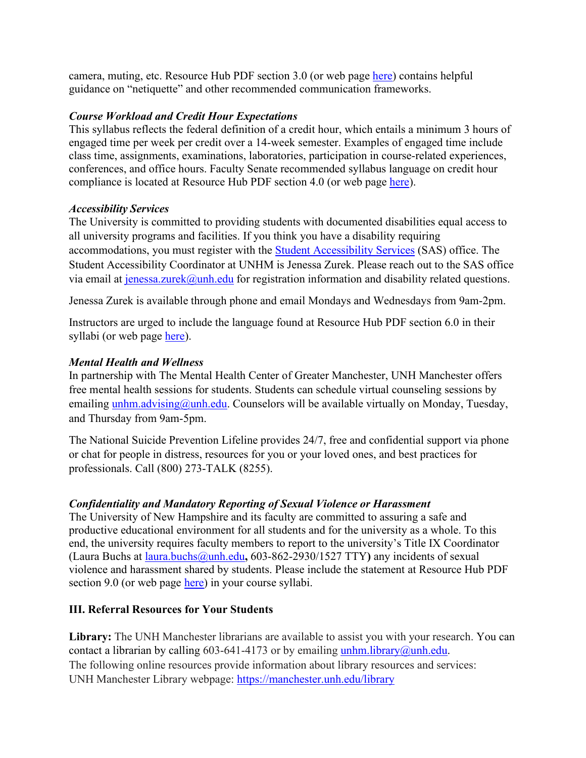camera, muting, etc. Resource Hub PDF section 3.0 (or web page [here\)](https://www.unh.edu/provost/guidance-fall-2020-instruction) contains helpful guidance on "netiquette" and other recommended communication frameworks.

# *Course Workload and Credit Hour Expectations*

This syllabus reflects the federal definition of a credit hour, which entails a minimum 3 hours of engaged time per week per credit over a 14-week semester. Examples of engaged time include class time, assignments, examinations, laboratories, participation in course-related experiences, conferences, and office hours. Faculty Senate recommended syllabus language on credit hour compliance is located at Resource Hub PDF section 4.0 (or web page [here\)](https://www.unh.edu/provost/guidance-fall-2020-instruction).

## *Accessibility Services*

The University is committed to providing students with documented disabilities equal access to all university programs and facilities. If you think you have a disability requiring accommodations, you must register with the [Student Accessibility Services](https://manchester.unh.edu/academics/academic-services/student-accessibility-services) (SAS) office. The Student Accessibility Coordinator at UNHM is Jenessa Zurek. Please reach out to the SAS office via email at  $j$ enessa.zurek@unh.edu for registration information and disability related questions.

Jenessa Zurek is available through phone and email Mondays and Wednesdays from 9am-2pm.

Instructors are urged to include the language found at Resource Hub PDF section 6.0 in their syllabi (or web page here).

# *Mental Health and Wellness*

In partnership with The Mental Health Center of Greater Manchester, UNH Manchester offers free mental health sessions for students. Students can schedule virtual counseling sessions by emailing [unhm.advising@unh.edu.](mailto:unhm.advising@unh.edu) Counselors will be available virtually on Monday, Tuesday, and Thursday from 9am-5pm.

The National Suicide Prevention Lifeline provides 24/7, free and confidential support via phone or chat for people in distress, resources for you or your loved ones, and best practices for professionals. Call (800) 273-TALK (8255).

# *Confidentiality and Mandatory Reporting of Sexual Violence or Harassment*

The University of New Hampshire and its faculty are committed to assuring a safe and productive educational environment for all students and for the university as a whole. To this end, the university requires faculty members to report to the university's Title IX Coordinator (Laura Buchs at [laura.buchs@unh.edu](mailto:laura.buchs@unh.edu)**,** 603-862-2930/1527 TTY**)** any incidents of sexual violence and harassment shared by students. Please include the statement at Resource Hub PDF section 9.0 (or web page [here\)](https://www.unh.edu/provost/guidance-fall-2020-instruction) in your course syllabi.

# **III. Referral Resources for Your Students**

**Library:** The UNH Manchester librarians are available to assist you with your research. You can contact a librarian by calling 603-641-4173 or by emailing  $\frac{\text{unhm.library}(a) \text{unh.edu.}}{\text{unh.edu.}}$ The following online resources provide information about library resources and services: UNH Manchester Library webpage:<https://manchester.unh.edu/library>